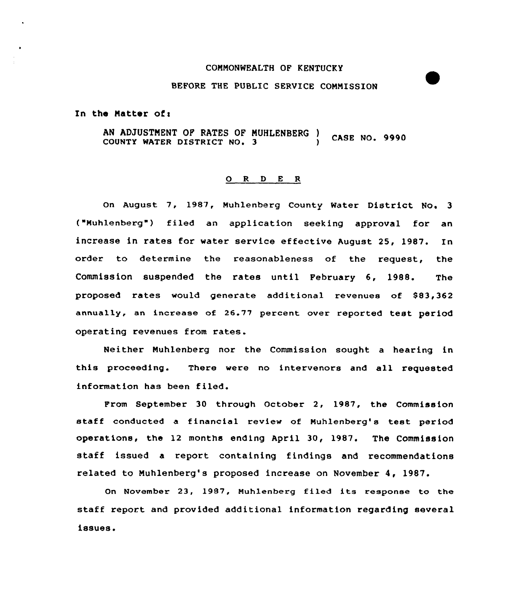# COMMONWEALTH OF KENTUCKY

# BEFORE THE PUBLIC SERVICE COMNISSION

In the Matter of:

AN ADJUSTMENT OF RATES OF MUHLENBERG ) CASE NO. 9990

#### 0 <sup>R</sup> <sup>D</sup> E <sup>R</sup>

On August 7, 1987, Muhlenberg County Water District No. 3 ("Muhlenberg") filed an application seeking approval for an increase in rates for water service effective August 25, 1987. In order to determine the reasonableness of the request, the Commission suspended the rates until February 6, 1988. The proposed rates would generate additional revenues of \$83,362 annually, an increase of 26.77 percent over reported test period operating revenues from rates.

Neither Muhlenberg nor the Commission sought a hearing in this proceeding. There were no intervenors and all, requested information has been filed.

From September 30 through October 2, 1987, the Commission staff conducted <sup>a</sup> financial review of Nuhlenberg's test period operations, the 12 months ending April 30, 1987. The COmmission staff issued a report containing findings and recommendations related to Nuhlenberg's proposed increase on November 4, 1987.

On November 23, 1987, Muhlenberg filed its response to the staff report and provided additional information regarding several issues.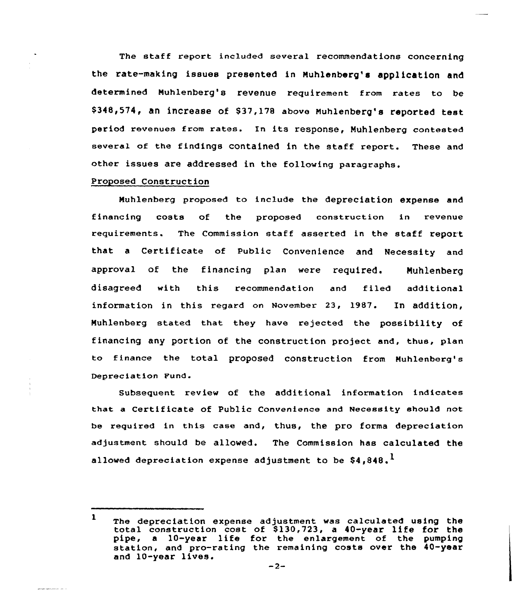The staff report included several recommendations concerning the rate-making issues presented in Nuhlenberg's application and determined Nuhlenberg's revenue requirement from rates to be 8348,574, an increase of 837,178 above Nuhlenberg's reported test period revenues from rates. En its response, Nuhlenberg contested several of the findings contained in the staff report. These and other issues are addressed in the following paragraphs.

## Proposed Construction

Muhlenberg proposed to include the depreciation expense and financing costs of the proposed construction in revenue requirements. The Commission staff asserted in the staff report that <sup>a</sup> Certificate of Public Convenience and Necessity and approval of the financing plan were required. Nuhlenberg disagreed with this recommendation and filed additional information in this regard on November 23, 1987. In addition, Muhlenberg stated that they have rejected the possibility of financing any portion of the construction project and, thus, plan to finance the total proposed construction from Nuhlenberg's Depreciation Fund.

Subsequent review of the additional information indicates that a Certificate of Public Convenience and Necessity should not be required in this case and, thus, the pro forma depreciation adjustment should be allowed. The Commission has calculated the allowed depreciation expense adjustment to be  $$4.848$ .<sup>1</sup>

 $\mathbf{1}$ The depreciation expense adjustment was calculated using the total construction cost of \$130,723, a 40-year life for the pipe, <sup>a</sup> 10-year life for the enlargement of the pumping station, and pro-rating the remaining costs over the 40-year and 10-year lives.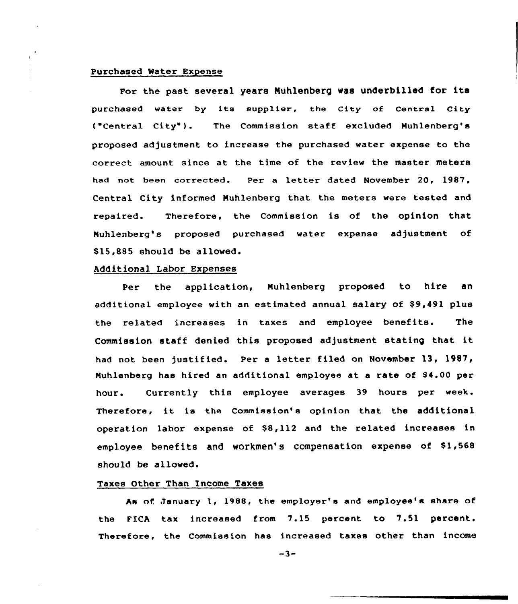# Purchased Water Expense

÷.

For the past several years Nuhlenberg was underbilled for its purchased water by its supplier, the City of Central City ("Central City"). The Commission staff excluded Muhlenberg's proposed adjustment to increase the purchased water expense to the correct amount since at the time of the review the master meters had not been corrected. Per a letter dated November 20, 1987, Central City informed Muhlenberg that the meters were tested and repaired. Therefore, the Commission is of the opinion that Muhlenberg's proposed purchased water expense adjustment of 815,885 should be allowed.

# Additional Labor Expenses

Per the application, Muhlenberg proposed to hire an additional employee with an estimated annual salary of S9,491 plus the related increases in taxes and employee benefits. The Commission staff denied this proposed adjustment stating that it had not been justified. Per <sup>a</sup> letter filed on November 13, 1987, Muhlenberg has hired an additional employee at a rate of \$4.00 per hour. Currently this employee averages 39 hours per week. Therefore, it is the Commission's opinion that the additional operation labor expense of 88,112 and the related increases in employee benefits and workmen's compensation expense of \$1,568 should be allowed.

## Taxes Other Than Income Taxes

hs nf January l, 1988, the employer's and employee's share of the FICA tax increased from 7.15 percent to 7.51 percent. Therefore, the Commission has increased taxes other than income

 $-3-$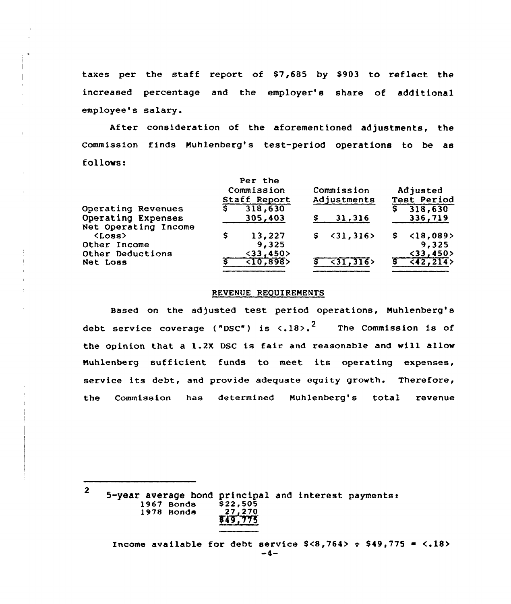taxes per the staff report of \$7,685 by S903 to reflect the increased percentage and the employer's share of additional employee's salary.

After consideration of the aforementioned adjustments, the commission finds Nuhlenberg's test-period operations to be as follows:

|                                                                  |     | Per the<br>Commission<br>Staff Report       |    | Commission<br>Adjustments |   | Adjusted<br>Test Period            |  |
|------------------------------------------------------------------|-----|---------------------------------------------|----|---------------------------|---|------------------------------------|--|
| Operating Revenues<br>Operating Expenses<br>Net Operating Income | \$. | 318,630<br>305,403                          |    | 31,316                    | s | 318,630<br>336,719                 |  |
| $\langle Loss \rangle$<br>Other Income                           | s   | 13,227<br>9,325                             | S. | $\langle 31, 316 \rangle$ | s | $\langle 18, 089 \rangle$<br>9,325 |  |
| Other Deductions<br>Net Loss                                     |     | $<$ 33,450 $>$<br>$\langle 10, 898 \rangle$ |    | $\langle 31, 316 \rangle$ |   | $33,450>$<br>(42, 214)             |  |

#### REVENUE REQUIREMENTS

Based on the adjusted test period operations, Nuhlenberg's debt service coverage ("DSC") is  $\langle .18 \rangle$ .<sup>2</sup> The Commission is of the opinion that a 1.2X DSC is fair and reasonable and will allow Nuhlenberg sufficient funds to meet its operating expenses, service its debt, and provide adequate equity growth. Therefore, the Commission has determined Muhlenberg's total revenue

2

5-year average bond principal and interest payments:<br>1967 Bonds \$22,505 1967 Bonds \$22,505<br>1978 Bonds 27,270 1978 Bonds \$4Y,~S

Income available for debt service  $$<8,764> \div $49,775 = <.18> -4-$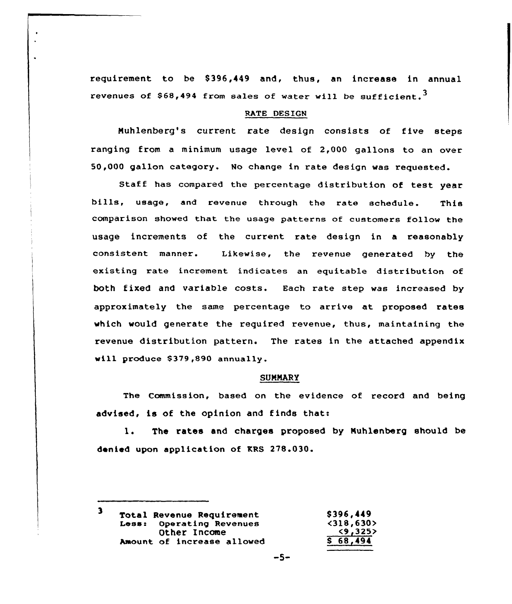requirement to be \$396,449 and, thus, an increase in annual revenues of \$68,494 from sales of water will be sufficient.<sup>3</sup>

## RATE DESIGN

Nuhlenberg's current rate design consists of five steps ranging from a minimum usage level of 2,000 gallons to an over 50,000 gallon category. No change in rate design was requested.

Staff has compared the percentage distribution of test year bills, usage, and revenue through the rate schedule. This comparison showed that the usage patterns of customers follow the usage increments of the current rate design in a reasonably consistent manner. Likewise, the revenue generated by the existing rate increment indicates an equitable distribution of both fixed and variable costs. Each rate step was increased by approximately the same percentage to arrive at proposed rates which would generate the required revenue, thus, maintaining the revenue distribution pattern. The rates in the attached appendix will produce \$379,890 annually.

# **SUMMARY**

The Commission, based on the evidence of record and being advised, is of the opinion and finds that:

l. The rates and charges proposed by Nuhlenberg should be denied upon application of KRS 278.030.

 $\mathbf{3}$ \$ 396,449 **Total Revenue Requirement<br>Less: Operating Revenues**  $\langle 318, 630 \rangle$ <br> $\langle 9, 325 \rangle$ Operating Revenues Other Income Amount of increase allowed \$ 68,494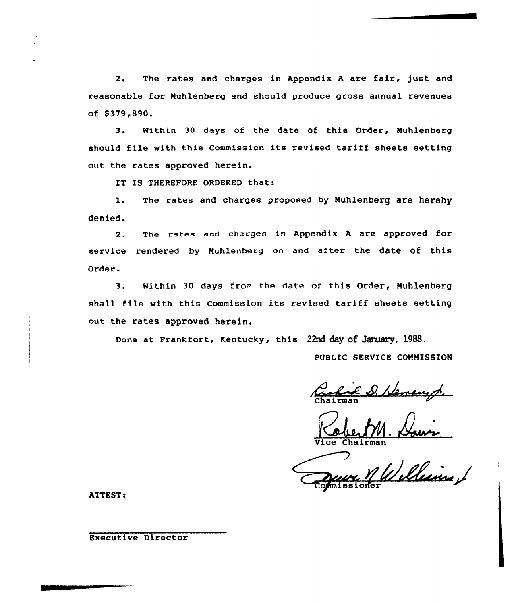2. The rates and charges in Appendix <sup>A</sup> are fair, just and reasonable for Nuhlenberg and should produce grass annual revenues of \$ 379,890.

3. Within <sup>30</sup> days af the date of this Order, Nuhlenberg should file with this Commission its revised tariff sheets setting out the rates appraved herein.

IT IS THEREFORE ORDERED that:

1. The rates and charges proposed by Muhlenberg are hereby denied.

2. The rates and charges in Appendix A are approved for service rendered by Muhlenberg on and after the date of this Order.

3. within <sup>30</sup> days from the date of this Order, Nuhlenberg shall file with this Commission its revised tariff sheets setting out the rates approved herein.

Done at Frankfort, Kentucky, this 22nd day of January, 1988.

PUBLIC SERVICE COMMISSION

Vice Chairman

illeins / opmissioner

ATTEST:

Executive Director